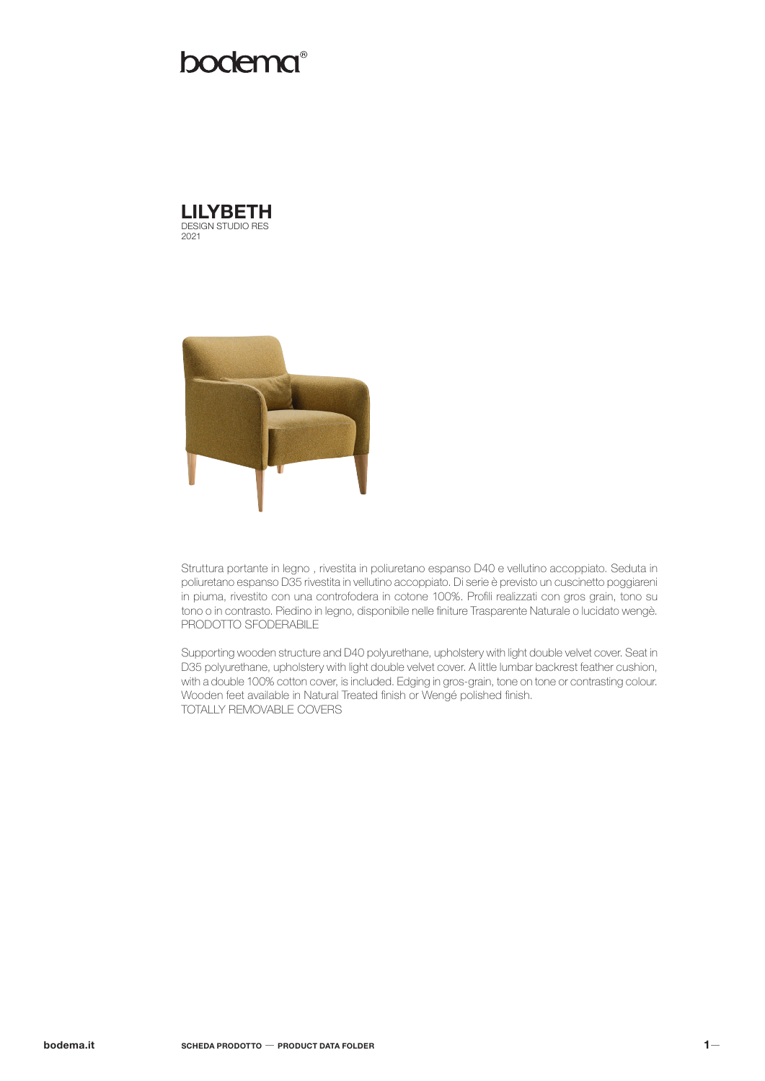# bodema®





Struttura portante in legno , rivestita in poliuretano espanso D40 e vellutino accoppiato. Seduta in poliuretano espanso D35 rivestita in vellutino accoppiato. Di serie è previsto un cuscinetto poggiareni in piuma, rivestito con una controfodera in cotone 100%. Profili realizzati con gros grain, tono su tono o in contrasto. Piedino in legno, disponibile nelle finiture Trasparente Naturale o lucidato wengè. PRODOTTO SFODERABILE

Supporting wooden structure and D40 polyurethane, upholstery with light double velvet cover. Seat in D35 polyurethane, upholstery with light double velvet cover. A little lumbar backrest feather cushion, with a double 100% cotton cover, is included. Edging in gros-grain, tone on tone or contrasting colour. Wooden feet available in Natural Treated finish or Wengé polished finish. TOTALLY REMOVABLE COVERS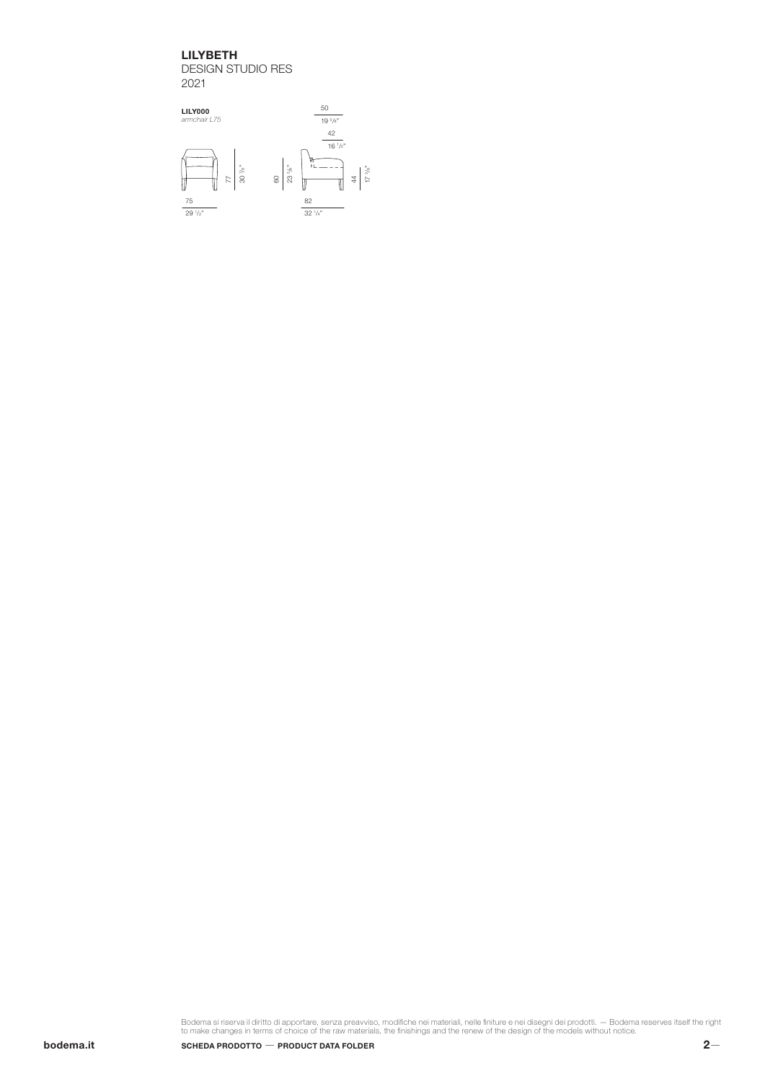## LILYBETH

DESIGN STUDIO RES 2021



Bodema si riserva il diritto di apportare, senza preavviso, modifiche nei materiali, nelle finiture e nei disegni dei prodotti. — Bodema reserves itself the right<br>to make changes in terms of choice of the raw materials, th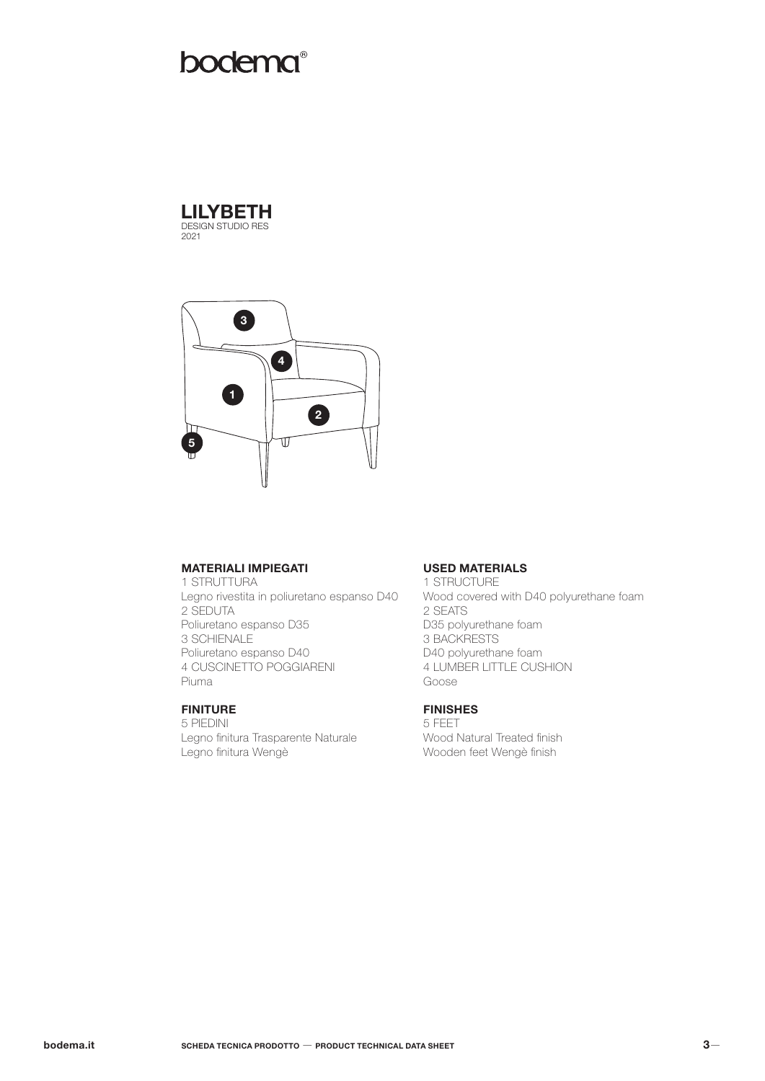# bodema®





## MATERIALI IMPIEGATI

1 STRUTTURA Legno rivestita in poliuretano espanso D40 2 SEDUTA Poliuretano espanso D35 3 SCHIENALE Poliuretano espanso D40 4 CUSCINETTO POGGIARENI Piuma

## FINITURE

5 PIEDINI Legno finitura Trasparente Naturale Legno finitura Wengè

#### USED MATERIALS

1 STRUCTURE Wood covered with D40 polyurethane foam 2 SEATS D35 polyurethane foam 3 BACKRESTS D40 polyurethane foam 4 LUMBER LITTLE CUSHION Goose

## FINISHES

5 FEET Wood Natural Treated finish Wooden feet Wengè finish